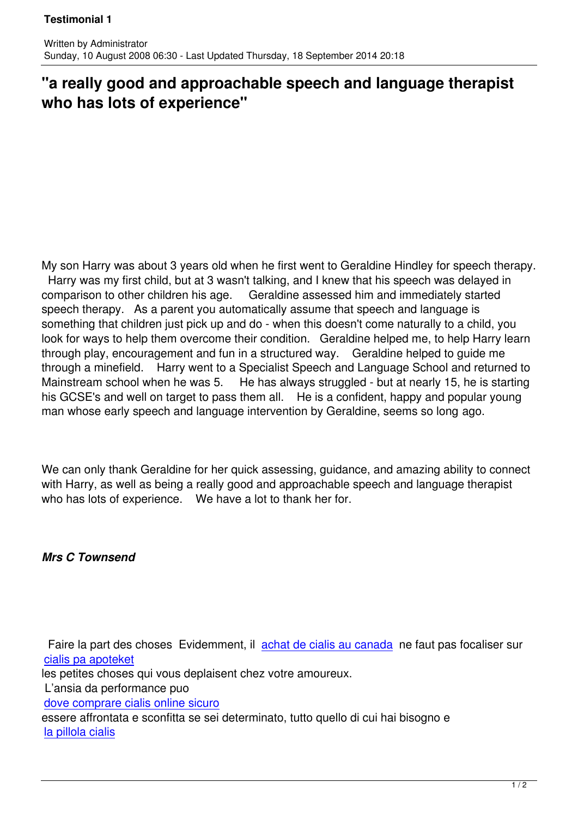## **"a really good and approachable speech and language therapist who has lots of experience"**

My son Harry was about 3 years old when he first went to Geraldine Hindley for speech therapy. Harry was my first child, but at 3 wasn't talking, and I knew that his speech was delayed in comparison to other children his age. Geraldine assessed him and immediately started speech therapy. As a parent you automatically assume that speech and language is something that children just pick up and do - when this doesn't come naturally to a child, you look for ways to help them overcome their condition. Geraldine helped me, to help Harry learn through play, encouragement and fun in a structured way. Geraldine helped to guide me through a minefield. Harry went to a Specialist Speech and Language School and returned to Mainstream school when he was 5. He has always struggled - but at nearly 15, he is starting his GCSE's and well on target to pass them all. He is a confident, happy and popular young man whose early speech and language intervention by Geraldine, seems so long ago.

We can only thank Geraldine for her quick assessing, guidance, and amazing ability to connect with Harry, as well as being a really good and approachable speech and language therapist who has lots of experience. We have a lot to thank her for.

## *Mrs C Townsend*

Written by Administrator and Administrator and Administrator and Administrator and Administrator and Administrator and Administrator and Administrator and Administrator and Administrator and Administrator and Administrator

 Faire la part des choses Evidemment, il achat de cialis au canada ne faut pas focaliser sur cialis pa apoteket les petites choses qui vous deplaisent chez votre amoureux. L'ansia da performance puo [dove comprare cia](http://idcampus.be/files/library/img/achat-cialis-generique.html)lis online sicuro

essere affrontata e sconfitta se sei determinato, tutto quello di cui hai bisogno e la pillola cialis